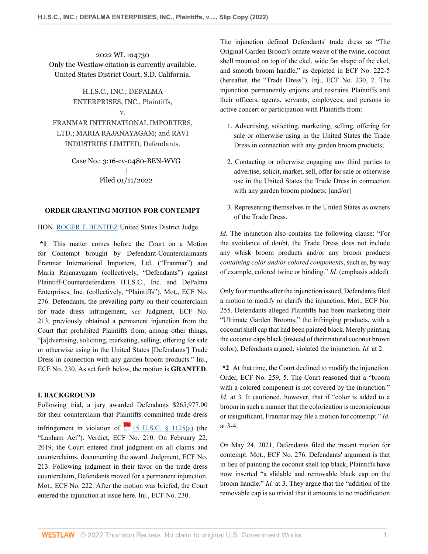2022 WL 104730 Only the Westlaw citation is currently available. United States District Court, S.D. California.

> H.I.S.C., INC.; DEPALMA ENTERPRISES, INC., Plaintiffs,

> > v.

FRANMAR INTERNATIONAL IMPORTERS, LTD.; MARIA RAJANAYAGAM; and RAVI INDUSTRIES LIMITED, Defendants.

> Case No.: 3:16-cv-0480-BEN-WVG | Filed 01/11/2022

## **ORDER GRANTING MOTION FOR CONTEMPT**

## HON. [ROGER T. BENITEZ](http://www.westlaw.com/Link/Document/FullText?findType=h&pubNum=176284&cite=0102591601&originatingDoc=I823fcc6073a511eca4c4bfe9a1626bce&refType=RQ&originationContext=document&vr=3.0&rs=cblt1.0&transitionType=DocumentItem&contextData=(sc.Keycite)) United States District Judge

**\*1** This matter comes before the Court on a Motion for Contempt brought by Defendant-Counterclaimants Franmar International Importers, Ltd. ("Franmar") and Maria Rajanayagam (collectively, "Defendants") against Plaintiff-Counterdefendants H.I.S.C., Inc. and DePalma Enterprises, Inc. (collectively, "Plaintiffs"). Mot., ECF No. 276. Defendants, the prevailing party on their counterclaim for trade dress infringement, *see* Judgment, ECF No. 213, previously obtained a permanent injunction from the Court that prohibited Plaintiffs from, among other things, "[a]dvertising, soliciting, marketing, selling, offering for sale or otherwise using in the United States [Defendants'] Trade Dress in connection with any garden broom products." Inj., ECF No. 230. As set forth below, the motion is **GRANTED**.

# **I. BACKGROUND**

Following trial, a jury awarded Defendants \$265,977.00 for their counterclaim that Plaintiffs committed trade dress

infringement in violation of  $\blacksquare$  [15 U.S.C. § 1125\(a\)](http://www.westlaw.com/Link/Document/FullText?findType=L&pubNum=1000546&cite=15USCAS1125&originatingDoc=I823fcc6073a511eca4c4bfe9a1626bce&refType=RB&originationContext=document&vr=3.0&rs=cblt1.0&transitionType=DocumentItem&contextData=(sc.Keycite)#co_pp_8b3b0000958a4) (the "Lanham Act"). Verdict, ECF No. 210. On February 22, 2019, the Court entered final judgment on all claims and counterclaims, documenting the award. Judgment, ECF No. 213. Following judgment in their favor on the trade dress counterclaim, Defendants moved for a permanent injunction. Mot., ECF No. 222. After the motion was briefed, the Court entered the injunction at issue here. Inj., ECF No. 230.

The injunction defined Defendants' trade dress as "The Original Garden Broom's ornate weave of the twine, coconut shell mounted on top of the ekel, wide fan shape of the ekel, and smooth broom handle," as depicted in ECF No. 222-5 (hereafter, the "Trade Dress"). Inj., ECF No. 230, 2. The injunction permanently enjoins and restrains Plaintiffs and their officers, agents, servants, employees, and persons in active concert or participation with Plaintiffs from:

- 1. Advertising, soliciting, marketing, selling, offering for sale or otherwise using in the United States the Trade Dress in connection with any garden broom products;
- 2. Contacting or otherwise engaging any third parties to advertise, solicit, market, sell, offer for sale or otherwise use in the United States the Trade Dress in connection with any garden broom products; [and/or]
- 3. Representing themselves in the United States as owners of the Trade Dress.

*Id.* The injunction also contains the following clause: "For the avoidance of doubt, the Trade Dress does not include any whisk broom products and/or any broom products *containing color and/or colored components*, such as, by way of example, colored twine or binding." *Id.* (emphasis added).

Only four months after the injunction issued, Defendants filed a motion to modify or clarify the injunction. Mot., ECF No. 255. Defendants alleged Plaintiffs had been marketing their "Ultimate Garden Brooms," the infringing products, with a coconut shell cap that had been painted black. Merely painting the coconut caps black (instead of their natural coconut brown color), Defendants argued, violated the injunction. *Id.* at 2.

**\*2** At that time, the Court declined to modify the injunction. Order, ECF No. 259, 5. The Court reasoned that a "broom with a colored component is not covered by the injunction." *Id.* at 3. It cautioned, however, that if "color is added to a broom in such a manner that the colorization is inconspicuous or insignificant, Franmar may file a motion for contempt." *Id.* at 3-4.

On May 24, 2021, Defendants filed the instant motion for contempt. Mot., ECF No. 276. Defendants' argument is that in lieu of painting the coconut shell top black, Plaintiffs have now inserted "a slidable and removable black cap on the broom handle." *Id.* at 3. They argue that the "addition of the removable cap is so trivial that it amounts to no modification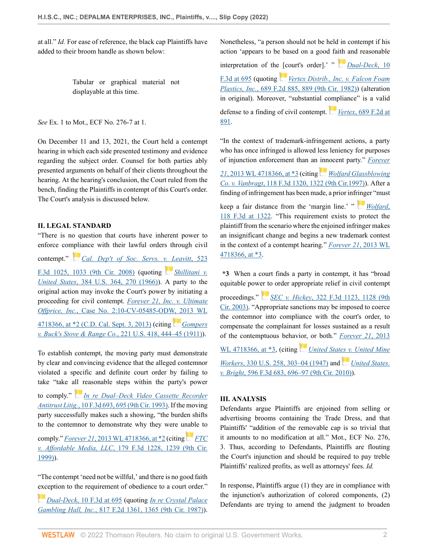at all." *Id.* For ease of reference, the black cap Plaintiffs have added to their broom handle as shown below:

> Tabular or graphical material not displayable at this time.

*See* Ex. 1 to Mot., ECF No. 276-7 at 1.

On December 11 and 13, 2021, the Court held a contempt hearing in which each side presented testimony and evidence regarding the subject order. Counsel for both parties ably presented arguments on behalf of their clients throughout the hearing. At the hearing's conclusion, the Court ruled from the bench, finding the Plaintiffs in contempt of this Court's order. The Court's analysis is discussed below.

#### **II. LEGAL STANDARD**

"There is no question that courts have inherent power to enforce co[mplia](https://1.next.westlaw.com/Link/RelatedInformation/Flag?documentGuid=I20888ace12db11ddb7e483ba170699a5&transitionType=InlineKeyCiteFlags&originationContext=docHeaderFlag&Rank=0&ppcid=2f8c7b7c26cc439abee39954f6df21a8&contextData=(sc.Keycite) )nce with their lawful orders through civil

contempt." *[Cal. Dep't of Soc. Servs. v. Leavitt](http://www.westlaw.com/Link/Document/FullText?findType=Y&serNum=2015883841&pubNum=0000506&originatingDoc=I823fcc6073a511eca4c4bfe9a1626bce&refType=RP&fi=co_pp_sp_506_1033&originationContext=document&vr=3.0&rs=cblt1.0&transitionType=DocumentItem&contextData=(sc.Keycite)#co_pp_sp_506_1033)*, 523 [F.3d 1025, 1033 \(9th Cir. 2008\)](http://www.westlaw.com/Link/Document/FullText?findType=Y&serNum=2015883841&pubNum=0000506&originatingDoc=I823fcc6073a511eca4c4bfe9a1626bce&refType=RP&fi=co_pp_sp_506_1033&originationContext=document&vr=3.0&rs=cblt1.0&transitionType=DocumentItem&contextData=(sc.Keycite)#co_pp_sp_506_1033) (quoting *[Shillitani v.](http://www.westlaw.com/Link/Document/FullText?findType=Y&serNum=1966105033&pubNum=0000780&originatingDoc=I823fcc6073a511eca4c4bfe9a1626bce&refType=RP&originationContext=document&vr=3.0&rs=cblt1.0&transitionType=DocumentItem&contextData=(sc.Keycite)) United States*[, 384 U.S. 364, 270 \(1966\)\)](http://www.westlaw.com/Link/Document/FullText?findType=Y&serNum=1966105033&pubNum=0000780&originatingDoc=I823fcc6073a511eca4c4bfe9a1626bce&refType=RP&originationContext=document&vr=3.0&rs=cblt1.0&transitionType=DocumentItem&contextData=(sc.Keycite)). A party to the original action may invoke the Court's power by initiating a proceeding for civil contempt. *[Forever 21, Inc. v. Ultimate](http://www.westlaw.com/Link/Document/FullText?findType=Y&serNum=2031466047&pubNum=0000999&originatingDoc=I823fcc6073a511eca4c4bfe9a1626bce&refType=RP&fi=co_pp_sp_999_2&originationContext=document&vr=3.0&rs=cblt1.0&transitionType=DocumentItem&contextData=(sc.Keycite)#co_pp_sp_999_2) Offprice, Inc.*[, Case No. 2:10-CV-05485-ODW, 2013 WL](http://www.westlaw.com/Link/Document/FullText?findType=Y&serNum=2031466047&pubNum=0000999&originatingDoc=I823fcc6073a511eca4c4bfe9a1626bce&refType=RP&fi=co_pp_sp_999_2&originationContext=document&vr=3.0&rs=cblt1.0&transitionType=DocumentItem&contextData=(sc.Keycite)#co_pp_sp_999_2) [4718366, at \\*2 \(C.D. Cal. Sept. 3, 2013\)](http://www.westlaw.com/Link/Document/FullText?findType=Y&serNum=2031466047&pubNum=0000999&originatingDoc=I823fcc6073a511eca4c4bfe9a1626bce&refType=RP&fi=co_pp_sp_999_2&originationContext=document&vr=3.0&rs=cblt1.0&transitionType=DocumentItem&contextData=(sc.Keycite)#co_pp_sp_999_2) (citing *[Gompers](http://www.westlaw.com/Link/Document/FullText?findType=Y&serNum=1911103423&pubNum=0000780&originatingDoc=I823fcc6073a511eca4c4bfe9a1626bce&refType=RP&fi=co_pp_sp_780_444&originationContext=document&vr=3.0&rs=cblt1.0&transitionType=DocumentItem&contextData=(sc.Keycite)#co_pp_sp_780_444) v. Buck's Stove & Range Co.*[, 221 U.S. 418, 444–45 \(1911\)](http://www.westlaw.com/Link/Document/FullText?findType=Y&serNum=1911103423&pubNum=0000780&originatingDoc=I823fcc6073a511eca4c4bfe9a1626bce&refType=RP&fi=co_pp_sp_780_444&originationContext=document&vr=3.0&rs=cblt1.0&transitionType=DocumentItem&contextData=(sc.Keycite)#co_pp_sp_780_444)).

To establish contempt, the moving party must demonstrate by clear and convincing evidence that the alleged contemnor violated a specific and definite court order by failing to take "take [all r](https://1.next.westlaw.com/Link/RelatedInformation/Flag?documentGuid=I812a731296ff11d9bc61beebb95be672&transitionType=InlineKeyCiteFlags&originationContext=docHeaderFlag&Rank=0&ppcid=2f8c7b7c26cc439abee39954f6df21a8&contextData=(sc.Keycite) )easonable steps within the party's power to comply." *[In re Dual–Deck Video Cassette Recorder](http://www.westlaw.com/Link/Document/FullText?findType=Y&serNum=1993227195&pubNum=0000506&originatingDoc=I823fcc6073a511eca4c4bfe9a1626bce&refType=RP&fi=co_pp_sp_506_695&originationContext=document&vr=3.0&rs=cblt1.0&transitionType=DocumentItem&contextData=(sc.Keycite)#co_pp_sp_506_695) Antitrust Litig.*[, 10 F.3d 693, 695 \(9th Cir. 1993\)](http://www.westlaw.com/Link/Document/FullText?findType=Y&serNum=1993227195&pubNum=0000506&originatingDoc=I823fcc6073a511eca4c4bfe9a1626bce&refType=RP&fi=co_pp_sp_506_695&originationContext=document&vr=3.0&rs=cblt1.0&transitionType=DocumentItem&contextData=(sc.Keycite)#co_pp_sp_506_695). If the moving party successfully makes such a showing, "the burden shifts to the contemnor to demonstrate why they were u[nabl](https://1.next.westlaw.com/Link/RelatedInformation/Flag?documentGuid=Id0edf27294a511d9a707f4371c9c34f0&transitionType=InlineKeyCiteFlags&originationContext=docHeaderFlag&Rank=0&ppcid=2f8c7b7c26cc439abee39954f6df21a8&contextData=(sc.Keycite) )e to

comply." *Forever 21*[, 2013 WL 4718366, at \\*2](http://www.westlaw.com/Link/Document/FullText?findType=Y&serNum=2031466047&pubNum=0000999&originatingDoc=I823fcc6073a511eca4c4bfe9a1626bce&refType=RP&fi=co_pp_sp_999_2&originationContext=document&vr=3.0&rs=cblt1.0&transitionType=DocumentItem&contextData=(sc.Keycite)#co_pp_sp_999_2) (citing *[FTC](http://www.westlaw.com/Link/Document/FullText?findType=Y&serNum=1999141211&pubNum=0000506&originatingDoc=I823fcc6073a511eca4c4bfe9a1626bce&refType=RP&fi=co_pp_sp_506_1239&originationContext=document&vr=3.0&rs=cblt1.0&transitionType=DocumentItem&contextData=(sc.Keycite)#co_pp_sp_506_1239) v. Affordable Media, LLC*[, 179 F.3d 1228, 1239 \(9th Cir.](http://www.westlaw.com/Link/Document/FullText?findType=Y&serNum=1999141211&pubNum=0000506&originatingDoc=I823fcc6073a511eca4c4bfe9a1626bce&refType=RP&fi=co_pp_sp_506_1239&originationContext=document&vr=3.0&rs=cblt1.0&transitionType=DocumentItem&contextData=(sc.Keycite)#co_pp_sp_506_1239) [1999\)](http://www.westlaw.com/Link/Document/FullText?findType=Y&serNum=1999141211&pubNum=0000506&originatingDoc=I823fcc6073a511eca4c4bfe9a1626bce&refType=RP&fi=co_pp_sp_506_1239&originationContext=document&vr=3.0&rs=cblt1.0&transitionType=DocumentItem&contextData=(sc.Keycite)#co_pp_sp_506_1239)).

"The contempt 'need not be willful,' and there is no good faith [exc](https://1.next.westlaw.com/Link/RelatedInformation/Flag?documentGuid=I812a731296ff11d9bc61beebb95be672&transitionType=InlineKeyCiteFlags&originationContext=docHeaderFlag&Rank=0&ppcid=2f8c7b7c26cc439abee39954f6df21a8&contextData=(sc.Keycite) )eption to the requirement of obedience to a court order."

*Dual-Deck*[, 10 F.3d at 695](http://www.westlaw.com/Link/Document/FullText?findType=Y&serNum=1993227195&pubNum=0000506&originatingDoc=I823fcc6073a511eca4c4bfe9a1626bce&refType=RP&fi=co_pp_sp_506_695&originationContext=document&vr=3.0&rs=cblt1.0&transitionType=DocumentItem&contextData=(sc.Keycite)#co_pp_sp_506_695) (quoting *[In re Crystal Palace](http://www.westlaw.com/Link/Document/FullText?findType=Y&serNum=1987064035&pubNum=0000350&originatingDoc=I823fcc6073a511eca4c4bfe9a1626bce&refType=RP&fi=co_pp_sp_350_1365&originationContext=document&vr=3.0&rs=cblt1.0&transitionType=DocumentItem&contextData=(sc.Keycite)#co_pp_sp_350_1365) Gambling Hall, Inc.*[, 817 F.2d 1361, 1365 \(9th Cir. 1987\)](http://www.westlaw.com/Link/Document/FullText?findType=Y&serNum=1987064035&pubNum=0000350&originatingDoc=I823fcc6073a511eca4c4bfe9a1626bce&refType=RP&fi=co_pp_sp_350_1365&originationContext=document&vr=3.0&rs=cblt1.0&transitionType=DocumentItem&contextData=(sc.Keycite)#co_pp_sp_350_1365)). Nonetheless, "a person should not be held in contempt if his action 'appears to be based on a good fa[ith](https://1.next.westlaw.com/Link/RelatedInformation/Flag?documentGuid=I812a731296ff11d9bc61beebb95be672&transitionType=InlineKeyCiteFlags&originationContext=docHeaderFlag&Rank=0&ppcid=2f8c7b7c26cc439abee39954f6df21a8&contextData=(sc.Keycite) ) and reasonable interpretation of the [\[c](https://1.next.westlaw.com/Link/RelatedInformation/Flag?documentGuid=Icd133503931311d993e6d35cc61aab4a&transitionType=InlineKeyCiteFlags&originationContext=docHeaderFlag&Rank=0&ppcid=2f8c7b7c26cc439abee39954f6df21a8&contextData=(sc.Keycite) )ourt's order].' " *[Dual-Deck](http://www.westlaw.com/Link/Document/FullText?findType=Y&serNum=1993227195&pubNum=0000506&originatingDoc=I823fcc6073a511eca4c4bfe9a1626bce&refType=RP&fi=co_pp_sp_506_695&originationContext=document&vr=3.0&rs=cblt1.0&transitionType=DocumentItem&contextData=(sc.Keycite)#co_pp_sp_506_695)*, 10 [F.3d at 695](http://www.westlaw.com/Link/Document/FullText?findType=Y&serNum=1993227195&pubNum=0000506&originatingDoc=I823fcc6073a511eca4c4bfe9a1626bce&refType=RP&fi=co_pp_sp_506_695&originationContext=document&vr=3.0&rs=cblt1.0&transitionType=DocumentItem&contextData=(sc.Keycite)#co_pp_sp_506_695) (quoting *[Vertex Distrib., Inc. v. Falcon Foam](http://www.westlaw.com/Link/Document/FullText?findType=Y&serNum=1982143529&pubNum=0000350&originatingDoc=I823fcc6073a511eca4c4bfe9a1626bce&refType=RP&fi=co_pp_sp_350_889&originationContext=document&vr=3.0&rs=cblt1.0&transitionType=DocumentItem&contextData=(sc.Keycite)#co_pp_sp_350_889) Plastics, Inc.*[, 689 F.2d 885, 889 \(9th Cir. 1982\)\)](http://www.westlaw.com/Link/Document/FullText?findType=Y&serNum=1982143529&pubNum=0000350&originatingDoc=I823fcc6073a511eca4c4bfe9a1626bce&refType=RP&fi=co_pp_sp_350_889&originationContext=document&vr=3.0&rs=cblt1.0&transitionType=DocumentItem&contextData=(sc.Keycite)#co_pp_sp_350_889) (alteration in original). Moreover, "substantial c[omp](https://1.next.westlaw.com/Link/RelatedInformation/Flag?documentGuid=Icd133503931311d993e6d35cc61aab4a&transitionType=InlineKeyCiteFlags&originationContext=docHeaderFlag&Rank=0&ppcid=2f8c7b7c26cc439abee39954f6df21a8&contextData=(sc.Keycite) )liance" is a valid defense to a finding of civil contempt. *Vertex*[, 689 F.2d at](http://www.westlaw.com/Link/Document/FullText?findType=Y&serNum=1982143529&pubNum=0000350&originatingDoc=I823fcc6073a511eca4c4bfe9a1626bce&refType=RP&fi=co_pp_sp_350_891&originationContext=document&vr=3.0&rs=cblt1.0&transitionType=DocumentItem&contextData=(sc.Keycite)#co_pp_sp_350_891) [891](http://www.westlaw.com/Link/Document/FullText?findType=Y&serNum=1982143529&pubNum=0000350&originatingDoc=I823fcc6073a511eca4c4bfe9a1626bce&refType=RP&fi=co_pp_sp_350_891&originationContext=document&vr=3.0&rs=cblt1.0&transitionType=DocumentItem&contextData=(sc.Keycite)#co_pp_sp_350_891).

"In the context of trademark-infringement actions, a party who has once infringed is allowed less leniency for purposes of injunction enforcement than an [inn](https://1.next.westlaw.com/Link/RelatedInformation/Flag?documentGuid=I626c40ba942611d9bc61beebb95be672&transitionType=InlineKeyCiteFlags&originationContext=docHeaderFlag&Rank=0&ppcid=2f8c7b7c26cc439abee39954f6df21a8&contextData=(sc.Keycite) )ocent party." *[Forever](http://www.westlaw.com/Link/Document/FullText?findType=Y&serNum=2031466047&pubNum=0000999&originatingDoc=I823fcc6073a511eca4c4bfe9a1626bce&refType=RP&fi=co_pp_sp_999_3&originationContext=document&vr=3.0&rs=cblt1.0&transitionType=DocumentItem&contextData=(sc.Keycite)#co_pp_sp_999_3)*

*21*[, 2013 WL 4718366, at \\*3](http://www.westlaw.com/Link/Document/FullText?findType=Y&serNum=2031466047&pubNum=0000999&originatingDoc=I823fcc6073a511eca4c4bfe9a1626bce&refType=RP&fi=co_pp_sp_999_3&originationContext=document&vr=3.0&rs=cblt1.0&transitionType=DocumentItem&contextData=(sc.Keycite)#co_pp_sp_999_3) (citing *[Wolfard Glassblowing](http://www.westlaw.com/Link/Document/FullText?findType=Y&serNum=1997141641&pubNum=0000506&originatingDoc=I823fcc6073a511eca4c4bfe9a1626bce&refType=RP&fi=co_pp_sp_506_1322&originationContext=document&vr=3.0&rs=cblt1.0&transitionType=DocumentItem&contextData=(sc.Keycite)#co_pp_sp_506_1322) Co. v. Vanbragt*[, 118 F.3d 1320, 1322 \(9th Cir.1997\)\)](http://www.westlaw.com/Link/Document/FullText?findType=Y&serNum=1997141641&pubNum=0000506&originatingDoc=I823fcc6073a511eca4c4bfe9a1626bce&refType=RP&fi=co_pp_sp_506_1322&originationContext=document&vr=3.0&rs=cblt1.0&transitionType=DocumentItem&contextData=(sc.Keycite)#co_pp_sp_506_1322). After a finding of infringement has been made, a prior inf[ring](https://1.next.westlaw.com/Link/RelatedInformation/Flag?documentGuid=I626c40ba942611d9bc61beebb95be672&transitionType=InlineKeyCiteFlags&originationContext=docHeaderFlag&Rank=0&ppcid=2f8c7b7c26cc439abee39954f6df21a8&contextData=(sc.Keycite) )er "must

keep a fair distance from the 'margin line.' " *[Wolfard](http://www.westlaw.com/Link/Document/FullText?findType=Y&serNum=1997141641&pubNum=0000506&originatingDoc=I823fcc6073a511eca4c4bfe9a1626bce&refType=RP&fi=co_pp_sp_506_1322&originationContext=document&vr=3.0&rs=cblt1.0&transitionType=DocumentItem&contextData=(sc.Keycite)#co_pp_sp_506_1322)*, [118 F.3d at 1322.](http://www.westlaw.com/Link/Document/FullText?findType=Y&serNum=1997141641&pubNum=0000506&originatingDoc=I823fcc6073a511eca4c4bfe9a1626bce&refType=RP&fi=co_pp_sp_506_1322&originationContext=document&vr=3.0&rs=cblt1.0&transitionType=DocumentItem&contextData=(sc.Keycite)#co_pp_sp_506_1322) "This requirement exists to protect the plaintiff from the scenario where the enjoined infringer makes an insignificant change and begins a new trademark contest in the context of a contempt hearing." *[Forever 21](http://www.westlaw.com/Link/Document/FullText?findType=Y&serNum=2031466047&pubNum=0000999&originatingDoc=I823fcc6073a511eca4c4bfe9a1626bce&refType=RP&fi=co_pp_sp_999_3&originationContext=document&vr=3.0&rs=cblt1.0&transitionType=DocumentItem&contextData=(sc.Keycite)#co_pp_sp_999_3)*, 2013 WL [4718366, at \\*3.](http://www.westlaw.com/Link/Document/FullText?findType=Y&serNum=2031466047&pubNum=0000999&originatingDoc=I823fcc6073a511eca4c4bfe9a1626bce&refType=RP&fi=co_pp_sp_999_3&originationContext=document&vr=3.0&rs=cblt1.0&transitionType=DocumentItem&contextData=(sc.Keycite)#co_pp_sp_999_3)

**\*3** When a court finds a party in contempt, it has "broad equitable pow[er to](https://1.next.westlaw.com/Link/RelatedInformation/Flag?documentGuid=I83cedddb89c711d9b6ea9f5a173c4523&transitionType=InlineKeyCiteFlags&originationContext=docHeaderFlag&Rank=0&ppcid=2f8c7b7c26cc439abee39954f6df21a8&contextData=(sc.Keycite) ) order appropriate relief in civil contempt proceedings." *SEC v. Hickey*[, 322 F.3d 1123, 1128 \(9th](http://www.westlaw.com/Link/Document/FullText?findType=Y&serNum=2003204544&pubNum=0000506&originatingDoc=I823fcc6073a511eca4c4bfe9a1626bce&refType=RP&fi=co_pp_sp_506_1128&originationContext=document&vr=3.0&rs=cblt1.0&transitionType=DocumentItem&contextData=(sc.Keycite)#co_pp_sp_506_1128) [Cir. 2003\)](http://www.westlaw.com/Link/Document/FullText?findType=Y&serNum=2003204544&pubNum=0000506&originatingDoc=I823fcc6073a511eca4c4bfe9a1626bce&refType=RP&fi=co_pp_sp_506_1128&originationContext=document&vr=3.0&rs=cblt1.0&transitionType=DocumentItem&contextData=(sc.Keycite)#co_pp_sp_506_1128). "Appropriate sanctions may be imposed to coerce the contemnor into compliance with the court's order, to compensate the complainant for losses sustained as a result of the contemptuous behav[ior,](https://1.next.westlaw.com/Link/RelatedInformation/Flag?documentGuid=Ia53db6199aea11d993e6d35cc61aab4a&transitionType=InlineKeyCiteFlags&originationContext=docHeaderFlag&Rank=0&ppcid=2f8c7b7c26cc439abee39954f6df21a8&contextData=(sc.Keycite) ) or both." *[Forever 21](http://www.westlaw.com/Link/Document/FullText?findType=Y&serNum=2031466047&pubNum=0000999&originatingDoc=I823fcc6073a511eca4c4bfe9a1626bce&refType=RP&fi=co_pp_sp_999_3&originationContext=document&vr=3.0&rs=cblt1.0&transitionType=DocumentItem&contextData=(sc.Keycite)#co_pp_sp_999_3)*, 2013 [WL 4718366, at \\*3](http://www.westlaw.com/Link/Document/FullText?findType=Y&serNum=2031466047&pubNum=0000999&originatingDoc=I823fcc6073a511eca4c4bfe9a1626bce&refType=RP&fi=co_pp_sp_999_3&originationContext=document&vr=3.0&rs=cblt1.0&transitionType=DocumentItem&contextData=(sc.Keycite)#co_pp_sp_999_3), (citing *[United States v. United Mine](http://www.westlaw.com/Link/Document/FullText?findType=Y&serNum=1947117424&pubNum=0000780&originatingDoc=I823fcc6073a511eca4c4bfe9a1626bce&refType=RP&fi=co_pp_sp_780_303&originationContext=document&vr=3.0&rs=cblt1.0&transitionType=DocumentItem&contextData=(sc.Keycite)#co_pp_sp_780_303) Workers*[, 330 U.S. 258, 303–04 \(1947\)](http://www.westlaw.com/Link/Document/FullText?findType=Y&serNum=1947117424&pubNum=0000780&originatingDoc=I823fcc6073a511eca4c4bfe9a1626bce&refType=RP&fi=co_pp_sp_780_303&originationContext=document&vr=3.0&rs=cblt1.0&transitionType=DocumentItem&contextData=(sc.Keycite)#co_pp_sp_780_303) and *[United States.](http://www.westlaw.com/Link/Document/FullText?findType=Y&serNum=2021437603&pubNum=0000506&originatingDoc=I823fcc6073a511eca4c4bfe9a1626bce&refType=RP&fi=co_pp_sp_506_696&originationContext=document&vr=3.0&rs=cblt1.0&transitionType=DocumentItem&contextData=(sc.Keycite)#co_pp_sp_506_696) v. Bright*[, 596 F.3d 683, 696–97 \(9th Cir. 2010\)](http://www.westlaw.com/Link/Document/FullText?findType=Y&serNum=2021437603&pubNum=0000506&originatingDoc=I823fcc6073a511eca4c4bfe9a1626bce&refType=RP&fi=co_pp_sp_506_696&originationContext=document&vr=3.0&rs=cblt1.0&transitionType=DocumentItem&contextData=(sc.Keycite)#co_pp_sp_506_696)).

#### **III. ANALYSIS**

Defendants argue Plaintiffs are enjoined from selling or advertising brooms containing the Trade Dress, and that Plaintiffs' "addition of the removable cap is so trivial that it amounts to no modification at all." Mot., ECF No. 276, 3. Thus, according to Defendants, Plaintiffs are flouting the Court's injunction and should be required to pay treble Plaintiffs' realized profits, as well as attorneys' fees. *Id.*

In response, Plaintiffs argue (1) they are in compliance with the injunction's authorization of colored components, (2) Defendants are trying to amend the judgment to broaden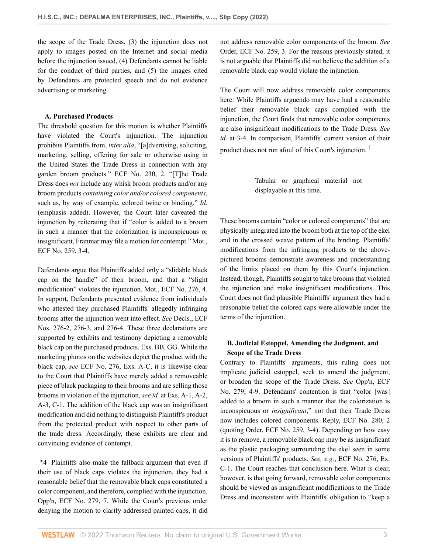the scope of the Trade Dress, (3) the injunction does not apply to images posted on the Internet and social media before the injunction issued, (4) Defendants cannot be liable for the conduct of third parties, and (5) the images cited by Defendants are protected speech and do not evidence advertising or marketing.

#### **A. Purchased Products**

The threshold question for this motion is whether Plaintiffs have violated the Court's injunction. The injunction prohibits Plaintiffs from, *inter alia*, "[a]dvertising, soliciting, marketing, selling, offering for sale or otherwise using in the United States the Trade Dress in connection with any garden broom products." ECF No. 230, 2. "[T]he Trade Dress does *not* include any whisk broom products and/or any broom products *containing color and/or colored components*, such as, by way of example, colored twine or binding." *Id.* (emphasis added). However, the Court later caveated the injunction by reiterating that if "color is added to a broom in such a manner that the colorization is inconspicuous or insignificant, Franmar may file a motion for contempt." Mot., ECF No. 259, 3-4.

Defendants argue that Plaintiffs added only a "slidable black cap on the handle" of their broom, and that a "slight modification" violates the injunction. Mot., ECF No. 276, 4. In support, Defendants presented evidence from individuals who attested they purchased Plaintiffs' allegedly infringing brooms after the injunction went into effect. *See* Decls., ECF Nos. 276-2, 276-3, and 276-4. These three declarations are supported by exhibits and testimony depicting a removable black cap on the purchased products. Exs. BB, GG. While the marketing photos on the websites depict the product with the black cap, *see* ECF No. 276, Exs. A-C, it is likewise clear to the Court that Plaintiffs have merely added a removeable piece of black packaging to their brooms and are selling those brooms in violation of the injunction, *see id.* at Exs. A-1, A-2, A-3, C-1. The addition of the black cap was an insignificant modification and did nothing to distinguish Plaintiff's product from the protected product with respect to other parts of the trade dress. Accordingly, these exhibits are clear and convincing evidence of contempt.

**\*4** Plaintiffs also make the fallback argument that even if their use of black caps violates the injunction, they had a reasonable belief that the removable black caps constituted a color component, and therefore, complied with the injunction. Opp'n, ECF No. 279, 7. While the Court's previous order denying the motion to clarify addressed painted caps, it did

not address removable color components of the broom. *See* Order, ECF No. 259, 3. For the reasons previously stated, it is not arguable that Plaintiffs did not believe the addition of a removable black cap would violate the injunction.

The Court will now address removable color components here: While Plaintiffs arguendo may have had a reasonable belief their removable black caps complied with the injunction, the Court finds that removable color components are also insignificant modifications to the Trade Dress. *See id.* at 3-4. In comparison, Plaintiffs' current version of their product does not run afoul of this Court's injunction.  $\frac{1}{1}$  $\frac{1}{1}$  $\frac{1}{1}$ 

> <span id="page-2-0"></span>Tabular or graphical material not displayable at this time.

These brooms contain "color or colored components" that are physically integrated into the broom both at the top of the ekel and in the crossed weave pattern of the binding. Plaintiffs' modifications from the infringing products to the abovepictured brooms demonstrate awareness and understanding of the limits placed on them by this Court's injunction. Instead, though, Plaintiffs sought to take brooms that violated the injunction and make insignificant modifications. This Court does not find plausible Plaintiffs' argument they had a reasonable belief the colored caps were allowable under the terms of the injunction.

# **B. Judicial Estoppel, Amending the Judgment, and Scope of the Trade Dress**

Contrary to Plaintiffs' arguments, this ruling does not implicate judicial estoppel, seek to amend the judgment, or broaden the scope of the Trade Dress. *See* Opp'n, ECF No. 279, 4-9. Defendants' contention is that "color [was] added to a broom in such a manner that the colorization is inconspicuous or *insignificant*," not that their Trade Dress now includes colored components. Reply, ECF No. 280, 2 (quoting Order, ECF No. 259, 3-4). Depending on how easy it is to remove, a removable black cap may be as insignificant as the plastic packaging surrounding the ekel seen in some versions of Plaintiffs' products. *See, e.g.*, ECF No. 276, Ex. C-1. The Court reaches that conclusion here. What is clear, however, is that going forward, removable color components should be viewed as insignificant modifications to the Trade Dress and inconsistent with Plaintiffs' obligation to "keep a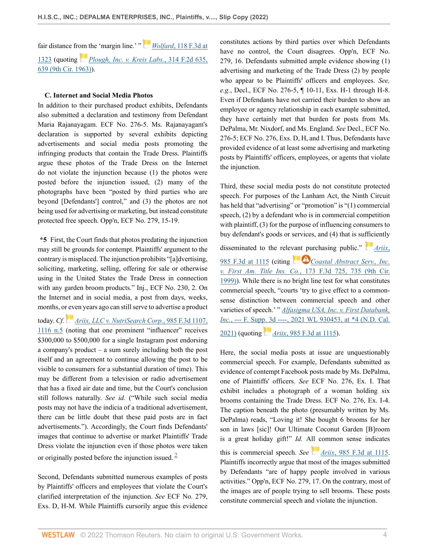fair distance fr[om t](https://1.next.westlaw.com/Link/RelatedInformation/Flag?documentGuid=Ia6b776a38f2a11d98e8fb00d6c6a02dd&transitionType=InlineKeyCiteFlags&originationContext=docHeaderFlag&Rank=0&ppcid=2f8c7b7c26cc439abee39954f6df21a8&contextData=(sc.Keycite) )he 'margin line.' "*Wolfard*[, 118 F.3d at](http://www.westlaw.com/Link/Document/FullText?findType=Y&serNum=1997141641&pubNum=0000506&originatingDoc=I823fcc6073a511eca4c4bfe9a1626bce&refType=RP&fi=co_pp_sp_506_1323&originationContext=document&vr=3.0&rs=cblt1.0&transitionType=DocumentItem&contextData=(sc.Keycite)#co_pp_sp_506_1323) [1323](http://www.westlaw.com/Link/Document/FullText?findType=Y&serNum=1997141641&pubNum=0000506&originatingDoc=I823fcc6073a511eca4c4bfe9a1626bce&refType=RP&fi=co_pp_sp_506_1323&originationContext=document&vr=3.0&rs=cblt1.0&transitionType=DocumentItem&contextData=(sc.Keycite)#co_pp_sp_506_1323) (quoting *[Plough, Inc. v. Kreis Labs.](http://www.westlaw.com/Link/Document/FullText?findType=Y&serNum=1963114041&pubNum=0000350&originatingDoc=I823fcc6073a511eca4c4bfe9a1626bce&refType=RP&fi=co_pp_sp_350_639&originationContext=document&vr=3.0&rs=cblt1.0&transitionType=DocumentItem&contextData=(sc.Keycite)#co_pp_sp_350_639)*, 314 F.2d 635, [639 \(9th Cir. 1963\)\)](http://www.westlaw.com/Link/Document/FullText?findType=Y&serNum=1963114041&pubNum=0000350&originatingDoc=I823fcc6073a511eca4c4bfe9a1626bce&refType=RP&fi=co_pp_sp_350_639&originationContext=document&vr=3.0&rs=cblt1.0&transitionType=DocumentItem&contextData=(sc.Keycite)#co_pp_sp_350_639).

## **C. Internet and Social Media Photos**

In addition to their purchased product exhibits, Defendants also submitted a declaration and testimony from Defendant Maria Rajanayagam. ECF No. 276-5. Ms. Rajanayagam's declaration is supported by several exhibits depicting advertisements and social media posts promoting the infringing products that contain the Trade Dress. Plaintiffs argue these photos of the Trade Dress on the Internet do not violate the injunction because (1) the photos were posted before the injunction issued, (2) many of the photographs have been "posted by third parties who are beyond [Defendants'] control," and (3) the photos are not being used for advertising or marketing, but instead constitute protected free speech. Opp'n, ECF No. 279, 15-19.

**\*5** First, the Court finds that photos predating the injunction may still be grounds for contempt. Plaintiffs' argument to the contrary is misplaced. The injunction prohibits "[a]dvertising, soliciting, marketing, selling, offering for sale or otherwise using in the United States the Trade Dress in connection with any garden broom products." Inj., ECF No. 230, 2. On the Internet and in social media, a post from days, weeks, months, or even years ago can still serve to advertise a product

today. *Cf.[Ariix, LLC v. NutriSearch Corp.](http://www.westlaw.com/Link/Document/FullText?findType=Y&serNum=2052815025&pubNum=0000506&originatingDoc=I823fcc6073a511eca4c4bfe9a1626bce&refType=RP&fi=co_pp_sp_506_1116&originationContext=document&vr=3.0&rs=cblt1.0&transitionType=DocumentItem&contextData=(sc.Keycite)#co_pp_sp_506_1116)*, 985 F.3d 1107, [1116 n.5](http://www.westlaw.com/Link/Document/FullText?findType=Y&serNum=2052815025&pubNum=0000506&originatingDoc=I823fcc6073a511eca4c4bfe9a1626bce&refType=RP&fi=co_pp_sp_506_1116&originationContext=document&vr=3.0&rs=cblt1.0&transitionType=DocumentItem&contextData=(sc.Keycite)#co_pp_sp_506_1116) (noting that one prominent "influencer" receives \$300,000 to \$500,000 for a single Instagram post endorsing a company's product – a sum surely including both the post itself and an agreement to continue allowing the post to be visible to consumers for a substantial duration of time). This may be different from a television or radio advertisement that has a fixed air date and time, but the Court's conclusion still follows naturally. *See id.* ("While such social media posts may not have the indicia of a traditional advertisement, there can be little doubt that these paid posts are in fact advertisements."). Accordingly, the Court finds Defendants' images that continue to advertise or market Plaintiffs' Trade Dress violate the injunction even if those photos were taken or originally posted before the injunction issued.  $\frac{2}{3}$  $\frac{2}{3}$  $\frac{2}{3}$ 

Second, Defendants submitted numerous examples of posts by Plaintiffs' officers and employees that violate the Court's clarified interpretation of the injunction. *See* ECF No. 279, Exs. D, H-M. While Plaintiffs cursorily argue this evidence constitutes actions by third parties over which Defendants have no control, the Court disagrees. Opp'n, ECF No. 279, 16. Defendants submitted ample evidence showing (1) advertising and marketing of the Trade Dress (2) by people who appear to be Plaintiffs' officers and employees. *See, e.g.*, Decl., ECF No. 276-5, ¶ 10-11, Exs. H-1 through H-8. Even if Defendants have not carried their burden to show an employee or agency relationship in each example submitted, they have certainly met that burden for posts from Ms. DePalma, Mr. Nixdorf, and Ms. England. *See* Decl., ECF No. 276-5; ECF No. 276, Exs. D, H, and I. Thus, Defendants have provided evidence of at least some advertising and marketing posts by Plaintiffs' officers, employees, or agents that violate the injunction.

Third, these social media posts do not constitute protected speech. For purposes of the Lanham Act, the Ninth Circuit has held that "advertising" or "promotion" is "(1) commercial speech, (2) by a defendant who is in commercial competition with plaintiff, (3) for the purpose of influencing consumers to buy defendant's goods or services, and (4) that is su[ffici](https://1.next.westlaw.com/Link/RelatedInformation/Flag?documentGuid=I9ac552005d0311eb8cb3c4fde92c4669&transitionType=InlineKeyCiteFlags&originationContext=docHeaderFlag&Rank=0&ppcid=2f8c7b7c26cc439abee39954f6df21a8&contextData=(sc.Keycite) )ently

disseminated to the rele[vant pu](https://1.next.westlaw.com/Link/RelatedInformation/Flag?documentGuid=I09f22a83948f11d9a707f4371c9c34f0&transitionType=InlineKeyCiteFlags&originationContext=docHeaderFlag&Rank=0&ppcid=2f8c7b7c26cc439abee39954f6df21a8&contextData=(sc.Keycite) )rchasing public." *[Ariix](http://www.westlaw.com/Link/Document/FullText?findType=Y&serNum=2052815025&pubNum=0000506&originatingDoc=I823fcc6073a511eca4c4bfe9a1626bce&refType=RP&fi=co_pp_sp_506_1115&originationContext=document&vr=3.0&rs=cblt1.0&transitionType=DocumentItem&contextData=(sc.Keycite)#co_pp_sp_506_1115)*,

[985 F.3d at 1115](http://www.westlaw.com/Link/Document/FullText?findType=Y&serNum=2052815025&pubNum=0000506&originatingDoc=I823fcc6073a511eca4c4bfe9a1626bce&refType=RP&fi=co_pp_sp_506_1115&originationContext=document&vr=3.0&rs=cblt1.0&transitionType=DocumentItem&contextData=(sc.Keycite)#co_pp_sp_506_1115) (citing **[Coastal Abstract Serv., Inc.](http://www.westlaw.com/Link/Document/FullText?findType=Y&serNum=1999084466&pubNum=0000506&originatingDoc=I823fcc6073a511eca4c4bfe9a1626bce&refType=RP&fi=co_pp_sp_506_735&originationContext=document&vr=3.0&rs=cblt1.0&transitionType=DocumentItem&contextData=(sc.Keycite)#co_pp_sp_506_735)** *v. First Am. Title Ins. Co.*[, 173 F.3d 725, 735 \(9th Cir.](http://www.westlaw.com/Link/Document/FullText?findType=Y&serNum=1999084466&pubNum=0000506&originatingDoc=I823fcc6073a511eca4c4bfe9a1626bce&refType=RP&fi=co_pp_sp_506_735&originationContext=document&vr=3.0&rs=cblt1.0&transitionType=DocumentItem&contextData=(sc.Keycite)#co_pp_sp_506_735) [1999\)](http://www.westlaw.com/Link/Document/FullText?findType=Y&serNum=1999084466&pubNum=0000506&originatingDoc=I823fcc6073a511eca4c4bfe9a1626bce&refType=RP&fi=co_pp_sp_506_735&originationContext=document&vr=3.0&rs=cblt1.0&transitionType=DocumentItem&contextData=(sc.Keycite)#co_pp_sp_506_735)). While there is no bright line test for what constitutes commercial speech, "courts 'try to give effect to a commonsense distinction between commercial speech and other varieties of speech.' " *[Alfasigma USA, Inc. v. First Databank,](http://www.westlaw.com/Link/Document/FullText?findType=Y&serNum=2053231000&pubNum=0000999&originatingDoc=I823fcc6073a511eca4c4bfe9a1626bce&refType=RP&fi=co_pp_sp_999_4&originationContext=document&vr=3.0&rs=cblt1.0&transitionType=DocumentItem&contextData=(sc.Keycite)#co_pp_sp_999_4) Inc.*[, --- F. Supp. 3d ----, 2021 WL 930453, at \\*4 \(N.D. Cal.](http://www.westlaw.com/Link/Document/FullText?findType=Y&serNum=2053231000&pubNum=0000999&originatingDoc=I823fcc6073a511eca4c4bfe9a1626bce&refType=RP&fi=co_pp_sp_999_4&originationContext=document&vr=3.0&rs=cblt1.0&transitionType=DocumentItem&contextData=(sc.Keycite)#co_pp_sp_999_4)) [2021\)](http://www.westlaw.com/Link/Document/FullText?findType=Y&serNum=2053231000&pubNum=0000999&originatingDoc=I823fcc6073a511eca4c4bfe9a1626bce&refType=RP&fi=co_pp_sp_999_4&originationContext=document&vr=3.0&rs=cblt1.0&transitionType=DocumentItem&contextData=(sc.Keycite)#co_pp_sp_999_4) (quoting *Ariix*[, 985 F.3d at 1115](http://www.westlaw.com/Link/Document/FullText?findType=Y&serNum=2052815025&pubNum=0000506&originatingDoc=I823fcc6073a511eca4c4bfe9a1626bce&refType=RP&fi=co_pp_sp_506_1115&originationContext=document&vr=3.0&rs=cblt1.0&transitionType=DocumentItem&contextData=(sc.Keycite)#co_pp_sp_506_1115)).

Here, the social media posts at issue are unquestionably commercial speech. For example, Defendants submitted as evidence of contempt Facebook posts made by Ms. DePalma, one of Plaintiffs' officers. *See* ECF No. 276, Ex. I. That exhibit includes a photograph of a woman holding six brooms containing the Trade Dress. ECF No. 276, Ex. I-4. The caption beneath the photo (presumably written by Ms. DePalma) reads, "Loving it! She bought 6 brooms for her son in laws [sic]! Our Ultimate Coconut Garden [B]room is a great holiday gift!" *Id.* All common sense indicates

<span id="page-3-0"></span>this is commercial speech. *See [A](https://1.next.westlaw.com/Link/RelatedInformation/Flag?documentGuid=I9ac552005d0311eb8cb3c4fde92c4669&transitionType=InlineKeyCiteFlags&originationContext=docHeaderFlag&Rank=0&ppcid=2f8c7b7c26cc439abee39954f6df21a8&contextData=(sc.Keycite) )riix*[, 985 F.3d at 1115](http://www.westlaw.com/Link/Document/FullText?findType=Y&serNum=2052815025&pubNum=0000506&originatingDoc=I823fcc6073a511eca4c4bfe9a1626bce&refType=RP&fi=co_pp_sp_506_1115&originationContext=document&vr=3.0&rs=cblt1.0&transitionType=DocumentItem&contextData=(sc.Keycite)#co_pp_sp_506_1115). Plaintiffs incorrectly argue that most of the images submitted by Defendants "are of happy people involved in various activities." Opp'n, ECF No. 279, 17. On the contrary, most of the images are of people trying to sell brooms. These posts constitute commercial speech and violate the injunction.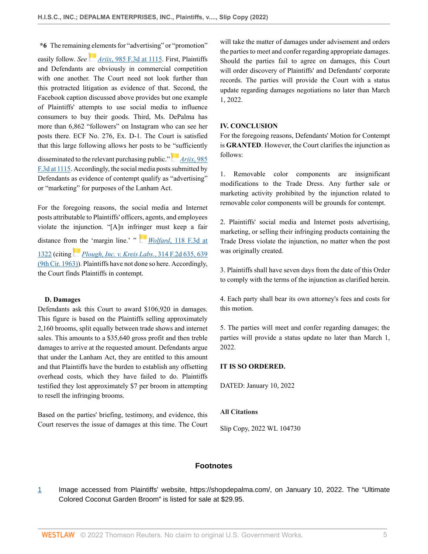**\*6** The remaining elements for "advertising" or "promotion" easily follow. *See [A](https://1.next.westlaw.com/Link/RelatedInformation/Flag?documentGuid=I9ac552005d0311eb8cb3c4fde92c4669&transitionType=InlineKeyCiteFlags&originationContext=docHeaderFlag&Rank=0&ppcid=2f8c7b7c26cc439abee39954f6df21a8&contextData=(sc.Keycite) )riix*[, 985 F.3d at 1115.](http://www.westlaw.com/Link/Document/FullText?findType=Y&serNum=2052815025&pubNum=0000506&originatingDoc=I823fcc6073a511eca4c4bfe9a1626bce&refType=RP&fi=co_pp_sp_506_1115&originationContext=document&vr=3.0&rs=cblt1.0&transitionType=DocumentItem&contextData=(sc.Keycite)#co_pp_sp_506_1115) First, Plaintiffs and Defendants are obviously in commercial competition with one another. The Court need not look further than this protracted litigation as evidence of that. Second, the Facebook caption discussed above provides but one example of Plaintiffs' attempts to use social media to influence consumers to buy their goods. Third, Ms. DePalma has more than 6,862 "followers" on Instagram who can see her posts there. ECF No. 276, Ex. D-1. The Court is satisfied that this large following allows her posts to be ["su](https://1.next.westlaw.com/Link/RelatedInformation/Flag?documentGuid=I9ac552005d0311eb8cb3c4fde92c4669&transitionType=InlineKeyCiteFlags&originationContext=docHeaderFlag&Rank=0&ppcid=2f8c7b7c26cc439abee39954f6df21a8&contextData=(sc.Keycite) )fficiently disseminated to the relevant purchasing public." *[Ariix](http://www.westlaw.com/Link/Document/FullText?findType=Y&serNum=2052815025&pubNum=0000506&originatingDoc=I823fcc6073a511eca4c4bfe9a1626bce&refType=RP&fi=co_pp_sp_506_1115&originationContext=document&vr=3.0&rs=cblt1.0&transitionType=DocumentItem&contextData=(sc.Keycite)#co_pp_sp_506_1115)*, 985 [F.3d at 1115](http://www.westlaw.com/Link/Document/FullText?findType=Y&serNum=2052815025&pubNum=0000506&originatingDoc=I823fcc6073a511eca4c4bfe9a1626bce&refType=RP&fi=co_pp_sp_506_1115&originationContext=document&vr=3.0&rs=cblt1.0&transitionType=DocumentItem&contextData=(sc.Keycite)#co_pp_sp_506_1115). Accordingly, the social media posts submitted by Defendants as evidence of contempt qualify as "advertising"

For the foregoing reasons, the social media and Internet posts attributable to Plaintiffs' officers, agents, and employees violate the injunction. "[A]n infr[inge](https://1.next.westlaw.com/Link/RelatedInformation/Flag?documentGuid=I626c40ba942611d9bc61beebb95be672&transitionType=InlineKeyCiteFlags&originationContext=docHeaderFlag&Rank=0&ppcid=2f8c7b7c26cc439abee39954f6df21a8&contextData=(sc.Keycite) )r must keep a fair distance fro[m th](https://1.next.westlaw.com/Link/RelatedInformation/Flag?documentGuid=Ia6b776a38f2a11d98e8fb00d6c6a02dd&transitionType=InlineKeyCiteFlags&originationContext=docHeaderFlag&Rank=0&ppcid=2f8c7b7c26cc439abee39954f6df21a8&contextData=(sc.Keycite) )e 'margin line.' " *Wolfard*[, 118 F.3d at](http://www.westlaw.com/Link/Document/FullText?findType=Y&serNum=1997141641&pubNum=0000506&originatingDoc=I823fcc6073a511eca4c4bfe9a1626bce&refType=RP&fi=co_pp_sp_506_1322&originationContext=document&vr=3.0&rs=cblt1.0&transitionType=DocumentItem&contextData=(sc.Keycite)#co_pp_sp_506_1322) [1322](http://www.westlaw.com/Link/Document/FullText?findType=Y&serNum=1997141641&pubNum=0000506&originatingDoc=I823fcc6073a511eca4c4bfe9a1626bce&refType=RP&fi=co_pp_sp_506_1322&originationContext=document&vr=3.0&rs=cblt1.0&transitionType=DocumentItem&contextData=(sc.Keycite)#co_pp_sp_506_1322) (citing *[Plough, Inc. v. Kreis Labs.](http://www.westlaw.com/Link/Document/FullText?findType=Y&serNum=1963114041&pubNum=0000350&originatingDoc=I823fcc6073a511eca4c4bfe9a1626bce&refType=RP&fi=co_pp_sp_350_639&originationContext=document&vr=3.0&rs=cblt1.0&transitionType=DocumentItem&contextData=(sc.Keycite)#co_pp_sp_350_639)*, 314 F.2d 635, 639 [\(9th Cir. 1963\)\)](http://www.westlaw.com/Link/Document/FullText?findType=Y&serNum=1963114041&pubNum=0000350&originatingDoc=I823fcc6073a511eca4c4bfe9a1626bce&refType=RP&fi=co_pp_sp_350_639&originationContext=document&vr=3.0&rs=cblt1.0&transitionType=DocumentItem&contextData=(sc.Keycite)#co_pp_sp_350_639). Plaintiffs have not done so here. Accordingly, the Court finds Plaintiffs in contempt.

or "marketing" for purposes of the Lanham Act.

## **D. Damages**

Defendants ask this Court to award \$106,920 in damages. This figure is based on the Plaintiffs selling approximately 2,160 brooms, split equally between trade shows and internet sales. This amounts to a \$35,640 gross profit and then treble damages to arrive at the requested amount. Defendants argue that under the Lanham Act, they are entitled to this amount and that Plaintiffs have the burden to establish any offsetting overhead costs, which they have failed to do. Plaintiffs testified they lost approximately \$7 per broom in attempting to resell the infringing brooms.

Based on the parties' briefing, testimony, and evidence, this Court reserves the issue of damages at this time. The Court will take the matter of damages under advisement and orders the parties to meet and confer regarding appropriate damages. Should the parties fail to agree on damages, this Court will order discovery of Plaintiffs' and Defendants' corporate records. The parties will provide the Court with a status update regarding damages negotiations no later than March 1, 2022.

#### **IV. CONCLUSION**

For the foregoing reasons, Defendants' Motion for Contempt is **GRANTED**. However, the Court clarifies the injunction as follows:

1. Removable color components are insignificant modifications to the Trade Dress. Any further sale or marketing activity prohibited by the injunction related to removable color components will be grounds for contempt.

2. Plaintiffs' social media and Internet posts advertising, marketing, or selling their infringing products containing the Trade Dress violate the injunction, no matter when the post was originally created.

3. Plaintiffs shall have seven days from the date of this Order to comply with the terms of the injunction as clarified herein.

4. Each party shall bear its own attorney's fees and costs for this motion.

5. The parties will meet and confer regarding damages; the parties will provide a status update no later than March 1, 2022.

# **IT IS SO ORDERED.**

DATED: January 10, 2022

#### **All Citations**

Slip Copy, 2022 WL 104730

# **Footnotes**

<span id="page-4-0"></span>[1](#page-2-0) Image accessed from Plaintiffs' website, https://shopdepalma.com/, on January 10, 2022. The "Ultimate Colored Coconut Garden Broom" is listed for sale at \$29.95.